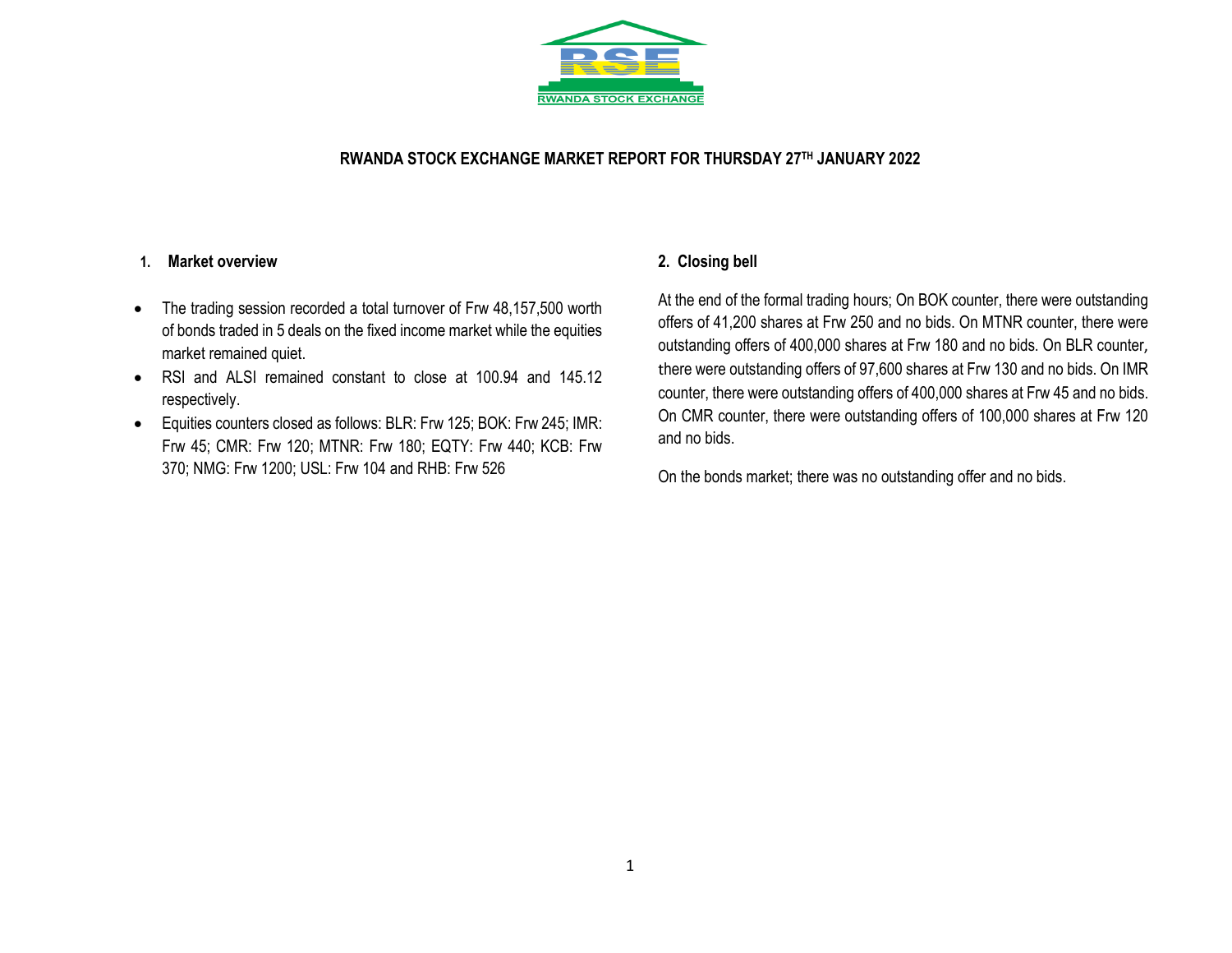

## **RWANDA STOCK EXCHANGE MARKET REPORT FOR THURSDAY 27 TH JANUARY 2022**

### **1. Market overview**

- The trading session recorded a total turnover of Frw 48,157,500 worth of bonds traded in 5 deals on the fixed income market while the equities market remained quiet.
- RSI and ALSI remained constant to close at 100.94 and 145.12 respectively.
- Equities counters closed as follows: BLR: Frw 125; BOK: Frw 245; IMR: Frw 45; CMR: Frw 120; MTNR: Frw 180; EQTY: Frw 440; KCB: Frw 370; NMG: Frw 1200; USL: Frw 104 and RHB: Frw 526

## **2. Closing bell**

At the end of the formal trading hours; On BOK counter, there were outstanding offers of 41,200 shares at Frw 250 and no bids. On MTNR counter, there were outstanding offers of 400,000 shares at Frw 180 and no bids. On BLR counter, there were outstanding offers of 97,600 shares at Frw 130 and no bids. On IMR counter, there were outstanding offers of 400,000 shares at Frw 45 and no bids. On CMR counter, there were outstanding offers of 100,000 shares at Frw 120 and no bids.

On the bonds market; there was no outstanding offer and no bids.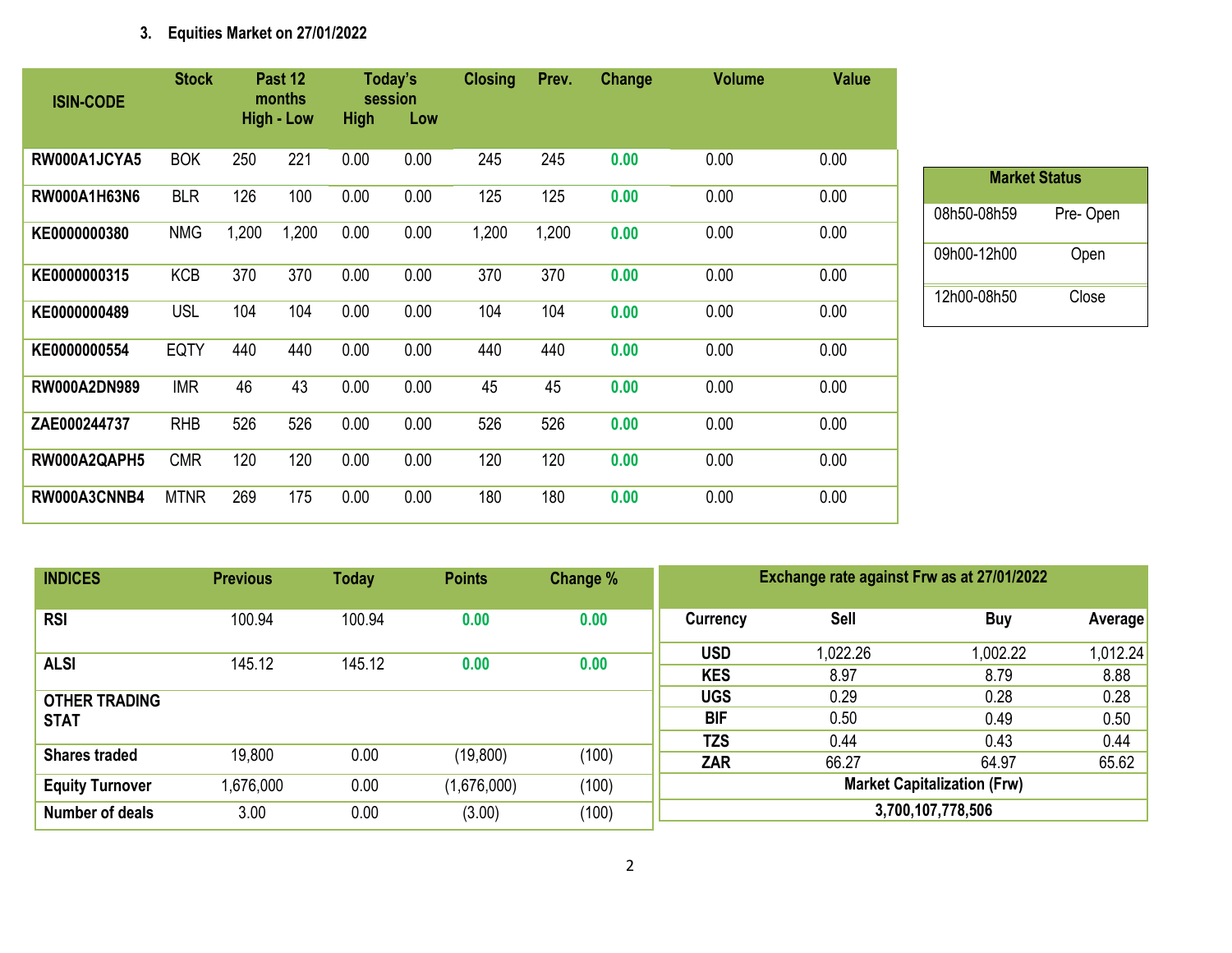# **3. Equities Market on 27/01/2022**

| <b>ISIN-CODE</b>    | <b>Stock</b> |       | Past 12<br>months |             | Today's<br>session | <b>Closing</b> | Prev. | Change | <b>Volume</b> | <b>Value</b> |
|---------------------|--------------|-------|-------------------|-------------|--------------------|----------------|-------|--------|---------------|--------------|
|                     |              |       | <b>High - Low</b> | <b>High</b> | Low                |                |       |        |               |              |
| RW000A1JCYA5        | <b>BOK</b>   | 250   | 221               | 0.00        | 0.00               | 245            | 245   | 0.00   | 0.00          | 0.00         |
| RW000A1H63N6        | <b>BLR</b>   | 126   | 100               | 0.00        | 0.00               | 125            | 125   | 0.00   | 0.00          | 0.00         |
| KE0000000380        | <b>NMG</b>   | 1,200 | 1,200             | 0.00        | 0.00               | 1,200          | 1,200 | 0.00   | 0.00          | 0.00         |
| KE0000000315        | <b>KCB</b>   | 370   | 370               | 0.00        | 0.00               | 370            | 370   | 0.00   | 0.00          | 0.00         |
| KE0000000489        | <b>USL</b>   | 104   | 104               | 0.00        | 0.00               | 104            | 104   | 0.00   | 0.00          | 0.00         |
| KE0000000554        | <b>EQTY</b>  | 440   | 440               | 0.00        | 0.00               | 440            | 440   | 0.00   | 0.00          | 0.00         |
| <b>RW000A2DN989</b> | <b>IMR</b>   | 46    | 43                | 0.00        | 0.00               | 45             | 45    | 0.00   | 0.00          | 0.00         |
| ZAE000244737        | <b>RHB</b>   | 526   | 526               | 0.00        | 0.00               | 526            | 526   | 0.00   | 0.00          | 0.00         |
| RW000A2QAPH5        | <b>CMR</b>   | 120   | 120               | 0.00        | 0.00               | 120            | 120   | 0.00   | 0.00          | 0.00         |
| RW000A3CNNB4        | <b>MTNR</b>  | 269   | 175               | 0.00        | 0.00               | 180            | 180   | 0.00   | 0.00          | 0.00         |

| <b>Market Status</b> |          |  |  |  |  |  |  |  |  |  |
|----------------------|----------|--|--|--|--|--|--|--|--|--|
| 08h50-08h59          | Pre-Open |  |  |  |  |  |  |  |  |  |
| 09h00-12h00          | Open     |  |  |  |  |  |  |  |  |  |
| 12h00-08h50          | Close    |  |  |  |  |  |  |  |  |  |

| <b>INDICES</b>                      | <b>Previous</b> | <b>Today</b> | <b>Points</b> | Change % | Exchange rate against Frw as at 27/01/2022              |                  |                  |                  |  |
|-------------------------------------|-----------------|--------------|---------------|----------|---------------------------------------------------------|------------------|------------------|------------------|--|
| <b>RSI</b>                          | 100.94          | 100.94       | 0.00          | 0.00     | Currency                                                | Sell             | <b>Buy</b>       | <b>Average</b>   |  |
| <b>ALSI</b>                         | 145.12          | 145.12       | 0.00          | 0.00     | <b>USD</b><br><b>KES</b>                                | 1,022.26<br>8.97 | 1,002.22<br>8.79 | 1,012.24<br>8.88 |  |
| <b>OTHER TRADING</b><br><b>STAT</b> |                 |              |               |          | <b>UGS</b><br><b>BIF</b>                                | 0.29<br>0.50     | 0.28<br>0.49     | 0.28<br>0.50     |  |
| <b>Shares traded</b>                | 19,800          | 0.00         | (19,800)      | (100)    | <b>TZS</b><br>ZAR                                       | 0.44<br>66.27    | 0.43<br>64.97    | 0.44<br>65.62    |  |
| <b>Equity Turnover</b>              | ,676,000        | 0.00         | (1,676,000)   | (100)    | <b>Market Capitalization (Frw)</b><br>3,700,107,778,506 |                  |                  |                  |  |
| Number of deals                     | 3.00            | 0.00         | (3.00)        | (100)    |                                                         |                  |                  |                  |  |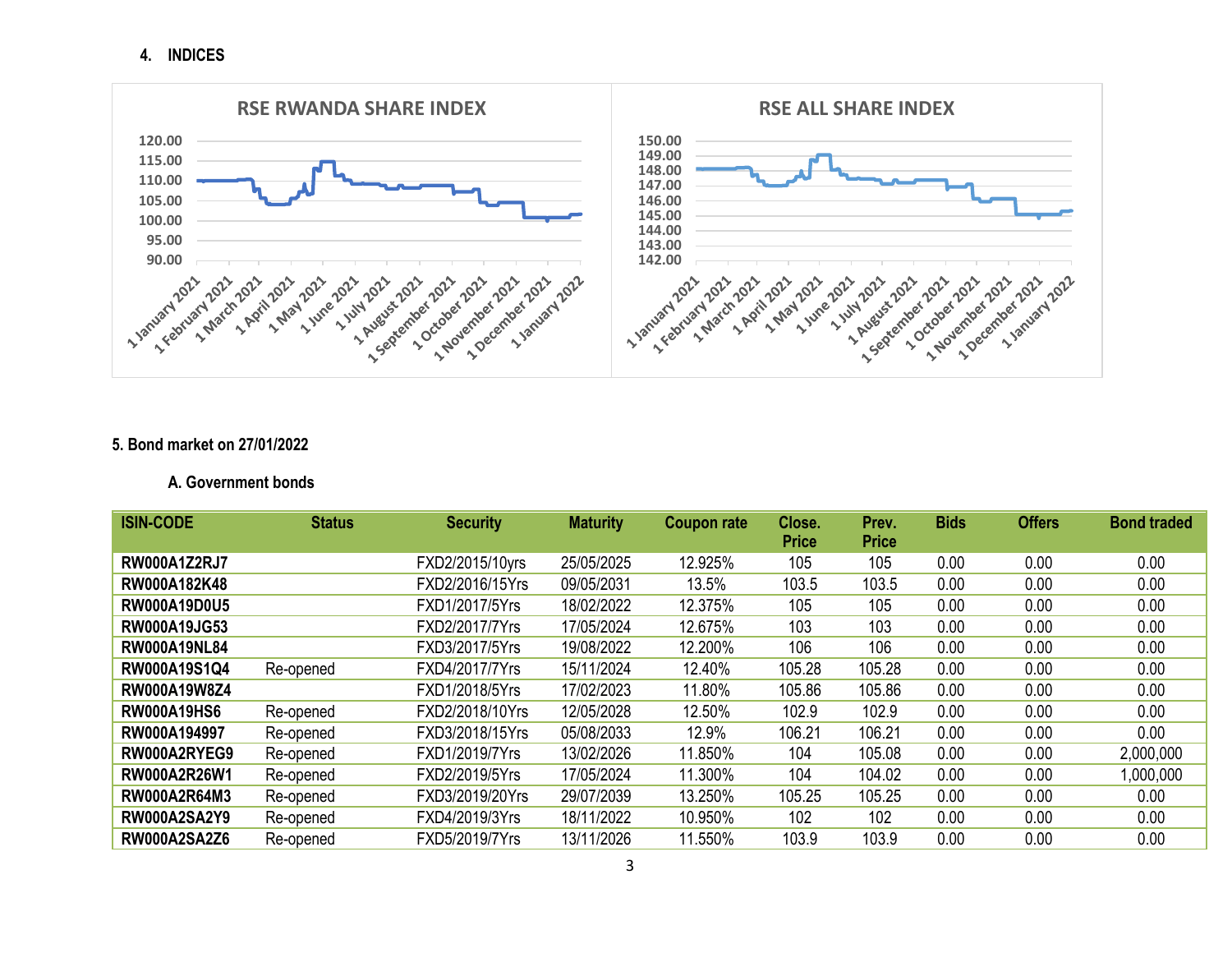**4. INDICES**



#### **5. Bond market on 27/01/2022**

#### **A. Government bonds**

| <b>ISIN-CODE</b>    | <b>Status</b> | <b>Security</b> | <b>Maturity</b> | <b>Coupon rate</b> | Close.       | Prev.        | <b>Bids</b> | <b>Offers</b> | <b>Bond traded</b> |
|---------------------|---------------|-----------------|-----------------|--------------------|--------------|--------------|-------------|---------------|--------------------|
|                     |               |                 |                 |                    | <b>Price</b> | <b>Price</b> |             |               |                    |
| <b>RW000A1Z2RJ7</b> |               | FXD2/2015/10yrs | 25/05/2025      | 12.925%            | 105          | 105          | 0.00        | 0.00          | 0.00               |
| RW000A182K48        |               | FXD2/2016/15Yrs | 09/05/2031      | 13.5%              | 103.5        | 103.5        | 0.00        | 0.00          | 0.00               |
| <b>RW000A19D0U5</b> |               | FXD1/2017/5Yrs  | 18/02/2022      | 12.375%            | 105          | 105          | 0.00        | 0.00          | 0.00               |
| <b>RW000A19JG53</b> |               | FXD2/2017/7Yrs  | 17/05/2024      | 12.675%            | 103          | 103          | 0.00        | 0.00          | 0.00               |
| <b>RW000A19NL84</b> |               | FXD3/2017/5Yrs  | 19/08/2022      | 12.200%            | 106          | 106          | 0.00        | 0.00          | 0.00               |
| RW000A19S1Q4        | Re-opened     | FXD4/2017/7Yrs  | 15/11/2024      | 12.40%             | 105.28       | 105.28       | 0.00        | 0.00          | 0.00               |
| <b>RW000A19W8Z4</b> |               | FXD1/2018/5Yrs  | 17/02/2023      | 11.80%             | 105.86       | 105.86       | 0.00        | 0.00          | 0.00               |
| <b>RW000A19HS6</b>  | Re-opened     | FXD2/2018/10Yrs | 12/05/2028      | 12.50%             | 102.9        | 102.9        | 0.00        | 0.00          | 0.00               |
| RW000A194997        | Re-opened     | FXD3/2018/15Yrs | 05/08/2033      | 12.9%              | 106.21       | 106.21       | 0.00        | 0.00          | 0.00               |
| RW000A2RYEG9        | Re-opened     | FXD1/2019/7Yrs  | 13/02/2026      | 11.850%            | 104          | 105.08       | 0.00        | 0.00          | 2,000,000          |
| <b>RW000A2R26W1</b> | Re-opened     | FXD2/2019/5Yrs  | 17/05/2024      | 11.300%            | 104          | 104.02       | 0.00        | 0.00          | 1,000,000          |
| RW000A2R64M3        | Re-opened     | FXD3/2019/20Yrs | 29/07/2039      | 13.250%            | 105.25       | 105.25       | 0.00        | 0.00          | 0.00               |
| <b>RW000A2SA2Y9</b> | Re-opened     | FXD4/2019/3Yrs  | 18/11/2022      | 10.950%            | 102          | 102          | 0.00        | 0.00          | 0.00               |
| <b>RW000A2SA2Z6</b> | Re-opened     | FXD5/2019/7Yrs  | 13/11/2026      | 11.550%            | 103.9        | 103.9        | 0.00        | 0.00          | 0.00               |